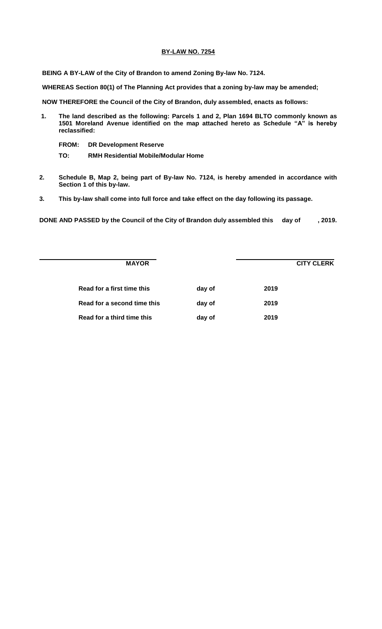## **BY-LAW NO. 7254**

**BEING A BY-LAW of the City of Brandon to amend Zoning By-law No. 7124.**

**WHEREAS Section 80(1) of The Planning Act provides that a zoning by-law may be amended;**

**NOW THEREFORE the Council of the City of Brandon, duly assembled, enacts as follows:**

- **1. The land described as the following: Parcels 1 and 2, Plan 1694 BLTO commonly known as 1501 Moreland Avenue identified on the map attached hereto as Schedule "A" is hereby reclassified:**
	- **FROM: DR Development Reserve**
	- **TO: RMH Residential Mobile/Modular Home**
- **2. Schedule B, Map 2, being part of By-law No. 7124, is hereby amended in accordance with Section 1 of this by-law.**
- **3. This by-law shall come into full force and take effect on the day following its passage.**

**DONE AND PASSED by the Council of the City of Brandon duly assembled this day of , 2019.**

| <b>MAYOR</b>                |        | <b>CITY CLERK</b> |  |
|-----------------------------|--------|-------------------|--|
| Read for a first time this  | day of | 2019              |  |
| Read for a second time this | day of | 2019              |  |
| Read for a third time this  | day of | 2019              |  |